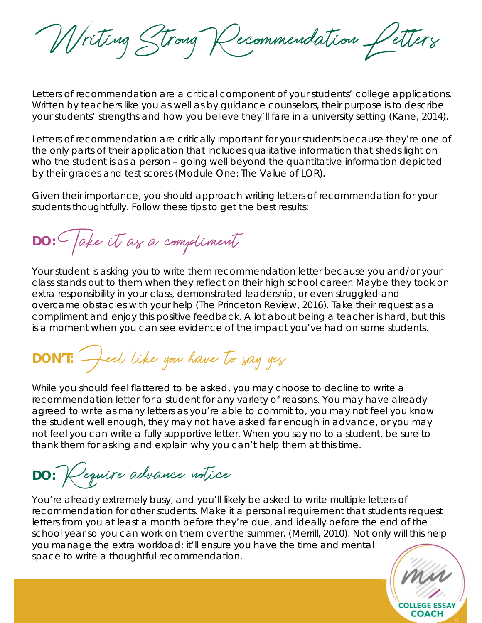Writing Strong Recommendation Petters

Letters of recommendation are a critical component of your students' college applications. Written by teachers like you as well as by guidance counselors, their purpose is to describe your students' strengths and how you believe they'll fare in a university setting (Kane, 2014).

Letters of recommendation are critically important for your students because they're one of the only parts of their application that includes qualitative information that sheds light on who the student is as a person – going well beyond the quantitative information depicted by their grades and test scores (Module One: The Value of LOR).

Given their importance, you should approach writing letters of recommendation for your students thoughtfully. Follow these tips to get the best results:

**DO:** Take it as a compliment

Your student is asking you to write them recommendation letter because you and/or your class stands out to them when they reflect on their high school career. Maybe they took on extra responsibility in your class, demonstrated leadership, or even struggled and overcame obstacles with your help (The Princeton Review, 2016). Take their request as a compliment and enjoy this positive feedback. A lot about being a teacher is hard, but this is a moment when you can see evidence of the impact you've had on some students.

**DON'T:** Feel like you have to say yes

While you should feel flattered to be asked, you may choose to decline to write a recommendation letter for a student for any variety of reasons. You may have already agreed to write as many letters as you're able to commit to, you may not feel you know the student well enough, they may not have asked far enough in advance, or you may not feel you can write a fully supportive letter. When you say no to a student, be sure to thank them for asking and explain why you can't help them at this time.

**DO:** Require advance notice

You're already extremely busy, and you'll likely be asked to write multiple letters of recommendation for other students. Make it a personal requirement that students request letters from you at least a month before they're due, and ideally before the end of the school year so you can work on them over the summer. (Merrill, 2010). Not only will this help you manage the extra workload; it'll ensure you have the time and mental space to write a thoughtful recommendation.

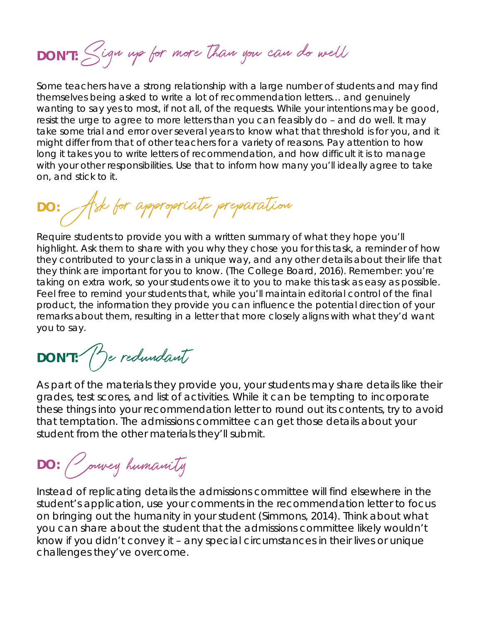**DON'T:** Sign up for more than you can do well

Some teachers have a strong relationship with a large number of students and may find themselves being asked to write a lot of recommendation letters… and genuinely wanting to say yes to most, if not all, of the requests. While your intentions may be good, resist the urge to agree to more letters than you can feasibly do – and do well. It may take some trial and error over several years to know what that threshold is for you, and it might differ from that of other teachers for a variety of reasons. Pay attention to how long it takes you to write letters of recommendation, and how difficult it is to manage with your other responsibilities. Use that to inform how many you'll ideally agree to take on, and stick to it.

**DO:** Ask for appropriate preparation

Require students to provide you with a written summary of what they hope you'll highlight. Ask them to share with you why they chose you for this task, a reminder of how they contributed to your class in a unique way, and any other details about their life that they think are important for you to know. (The College Board, 2016). Remember: you're taking on extra work, so your students owe it to you to make this task as easy as possible. Feel free to remind your students that, while you'll maintain editorial control of the final product, the information they provide you can influence the potential direction of your remarks about them, resulting in a letter that more closely aligns with what they'd want you to say.

**DON'T:** Be redundant

As part of the materials they provide you, your students may share details like their grades, test scores, and list of activities. While it can be tempting to incorporate these things into your recommendation letter to round out its contents, try to avoid that temptation. The admissions committee can get those details about your student from the other materials they'll submit.

**DO:** Convey humanity

Instead of replicating details the admissions committee will find elsewhere in the student's application, use your comments in the recommendation letter to focus on bringing out the humanity in your student (Simmons, 2014). Think about what you can share about the student that the admissions committee likely wouldn't know if you didn't convey it – any special circumstances in their lives or unique challenges they've overcome.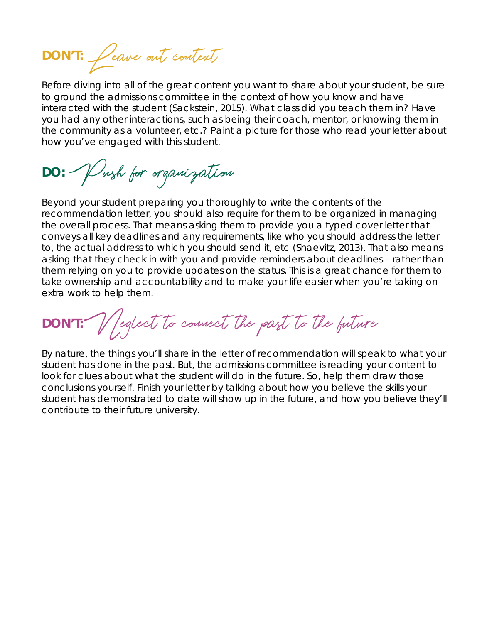**DON'T:** Leave out context

Before diving into all of the great content you want to share about your student, be sure to ground the admissions committee in the context of how you know and have interacted with the student (Sackstein, 2015). What class did you teach them in? Have you had any other interactions, such as being their coach, mentor, or knowing them in the community as a volunteer, etc.? Paint a picture for those who read your letter about how you've engaged with this student.

**DO:** Push for organization

Beyond your student preparing you thoroughly to write the contents of the recommendation letter, you should also require for them to be organized in managing the overall process. That means asking them to provide you a typed cover letter that conveys all key deadlines and any requirements, like who you should address the letter to, the actual address to which you should send it, etc (Shaevitz, 2013). That also means asking that they check in with you and provide reminders about deadlines – rather than them relying on you to provide updates on the status. This is a great chance for them to take ownership and accountability and to make your life easier when you're taking on extra work to help them.

**DON'T:** Neglect to connect the past to the future

By nature, the things you'll share in the letter of recommendation will speak to what your student has done in the past. But, the admissions committee is reading your content to look for clues about what the student will do in the *future*. So, help them draw those conclusions yourself. Finish your letter by talking about how you believe the skills your student has demonstrated to date will show up in the future, and how you believe they'll contribute to their future university.